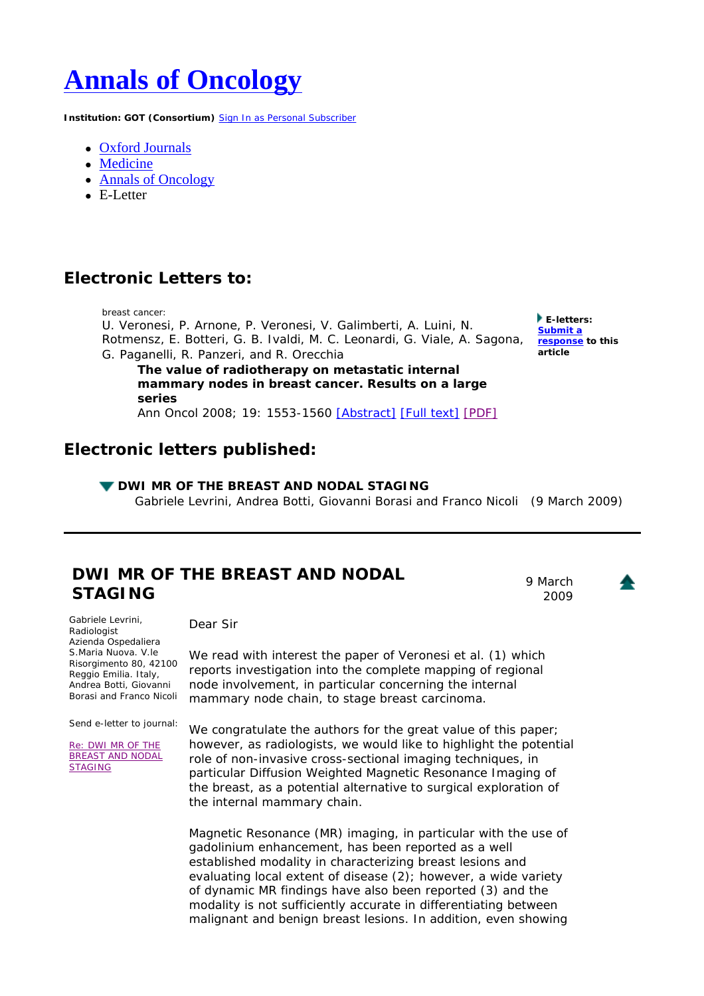# **Annals of Oncology**

**Institution: GOT (Consortium)** Sign In as Personal Subscriber

- Oxford Journals
- Medicine
- Annals of Oncology
- $\bullet$  E-Letter

## **Electronic Letters to:**

breast cancer: U. Veronesi, P. Arnone, P. Veronesi, V. Galimberti, A. Luini, N. Rotmensz, E. Botteri, G. B. Ivaldi, M. C. Leonardi, G. Viale, A. Sagona, **response to this**  G. Paganelli, R. Panzeri, and R. Orecchia **The value of radiotherapy on metastatic internal** 

**E-letters: Submit a article**

**mammary nodes in breast cancer. Results on a large series** Ann Oncol 2008; 19: 1553-1560 [Abstract] [Full text] [PDF]

## **Electronic letters published:**

#### **V DWI MR OF THE BREAST AND NODAL STAGING**

Gabriele Levrini, Andrea Botti, Giovanni Borasi and Franco Nicoli (9 March 2009)

## **DWI MR OF THE BREAST AND NODAL STAGING**

9 March 2009

Gabriele Levrini, Radiologist *Azienda Ospedaliera S.Maria Nuova. V.le Risorgimento 80, 42100 Reggio Emilia. Italy*, Andrea Botti, Giovanni Borasi and Franco Nicoli

Send e-letter to journal:

Re: DWI MR OF THE BREAST AND NODAL STAGING

Dear Sir

We read with interest the paper of Veronesi et al. (1) which reports investigation into the complete mapping of regional node involvement, in particular concerning the internal mammary node chain, to stage breast carcinoma.

We congratulate the authors for the great value of this paper; however, as radiologists, we would like to highlight the potential role of non-invasive cross-sectional imaging techniques, in particular Diffusion Weighted Magnetic Resonance Imaging of the breast, as a potential alternative to surgical exploration of the internal mammary chain.

Magnetic Resonance (MR) imaging, in particular with the use of gadolinium enhancement, has been reported as a well established modality in characterizing breast lesions and evaluating local extent of disease (2); however, a wide variety of dynamic MR findings have also been reported (3) and the modality is not sufficiently accurate in differentiating between malignant and benign breast lesions. In addition, even showing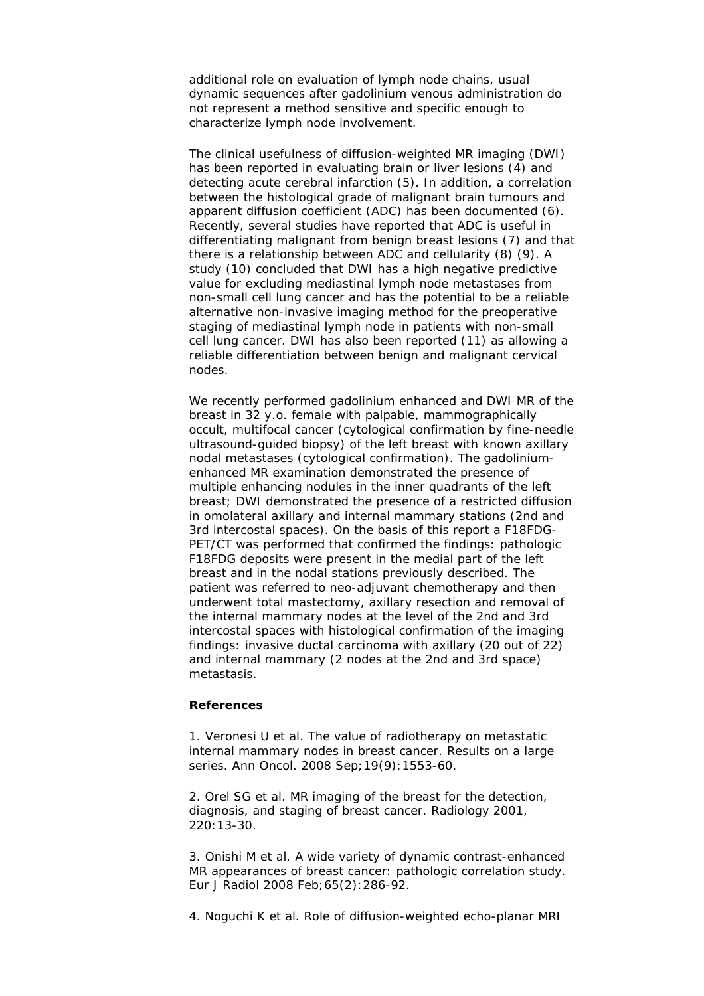additional role on evaluation of lymph node chains, usual dynamic sequences after gadolinium venous administration do not represent a method sensitive and specific enough to characterize lymph node involvement.

The clinical usefulness of diffusion-weighted MR imaging (DWI) has been reported in evaluating brain or liver lesions (4) and detecting acute cerebral infarction (5). In addition, a correlation between the histological grade of malignant brain tumours and apparent diffusion coefficient (ADC) has been documented (6). Recently, several studies have reported that ADC is useful in differentiating malignant from benign breast lesions (7) and that there is a relationship between ADC and cellularity (8) (9). A study (10) concluded that DWI has a high negative predictive value for excluding mediastinal lymph node metastases from non-small cell lung cancer and has the potential to be a reliable alternative non-invasive imaging method for the preoperative staging of mediastinal lymph node in patients with non-small cell lung cancer. DWI has also been reported (11) as allowing a reliable differentiation between benign and malignant cervical nodes.

We recently performed gadolinium enhanced and DWI MR of the breast in 32 y.o. female with palpable, mammographically occult, multifocal cancer (cytological confirmation by fine-needle ultrasound-guided biopsy) of the left breast with known axillary nodal metastases (cytological confirmation). The gadoliniumenhanced MR examination demonstrated the presence of multiple enhancing nodules in the inner quadrants of the left breast; DWI demonstrated the presence of a restricted diffusion in omolateral axillary and internal mammary stations (2nd and 3rd intercostal spaces). On the basis of this report a F18FDG-PET/CT was performed that confirmed the findings: pathologic F18FDG deposits were present in the medial part of the left breast and in the nodal stations previously described. The patient was referred to neo-adjuvant chemotherapy and then underwent total mastectomy, axillary resection and removal of the internal mammary nodes at the level of the 2nd and 3rd intercostal spaces with histological confirmation of the imaging findings: invasive ductal carcinoma with axillary (20 out of 22) and internal mammary (2 nodes at the 2nd and 3rd space) metastasis.

#### **References**

1. Veronesi U et al. The value of radiotherapy on metastatic internal mammary nodes in breast cancer. Results on a large series. Ann Oncol. 2008 Sep;19(9):1553-60.

2. Orel SG et al. MR imaging of the breast for the detection, diagnosis, and staging of breast cancer. Radiology 2001, 220:13-30.

3. Onishi M et al. A wide variety of dynamic contrast-enhanced MR appearances of breast cancer: pathologic correlation study. Eur J Radiol 2008 Feb;65(2):286-92.

4. Noguchi K et al. Role of diffusion-weighted echo-planar MRI